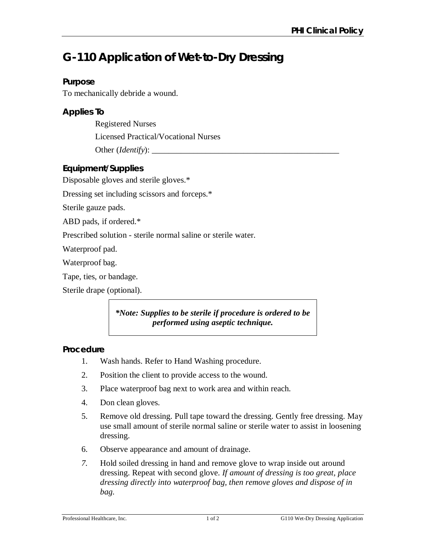# **G-110 Application of Wet-to-Dry Dressing**

## **Purpose**

To mechanically debride a wound.

## **Applies To**

Registered Nurses Licensed Practical/Vocational Nurses

Other (*Identify*):

# **Equipment/Supplies**

Disposable gloves and sterile gloves.\*

Dressing set including scissors and forceps.\*

Sterile gauze pads.

ABD pads, if ordered.\*

Prescribed solution - sterile normal saline or sterile water.

Waterproof pad.

Waterproof bag.

Tape, ties, or bandage.

Sterile drape (optional).

*\*Note: Supplies to be sterile if procedure is ordered to be performed using aseptic technique.*

## **Procedure**

- 1. Wash hands. Refer to Hand Washing procedure.
- 2. Position the client to provide access to the wound.
- 3. Place waterproof bag next to work area and within reach.
- 4. Don clean gloves.
- 5. Remove old dressing. Pull tape toward the dressing. Gently free dressing. May use small amount of sterile normal saline or sterile water to assist in loosening dressing.
- 6. Observe appearance and amount of drainage.
- *7.* Hold soiled dressing in hand and remove glove to wrap inside out around dressing. Repeat with second glove. *If amount of dressing is too great, place dressing directly into waterproof bag, then remove gloves and dispose of in bag.*